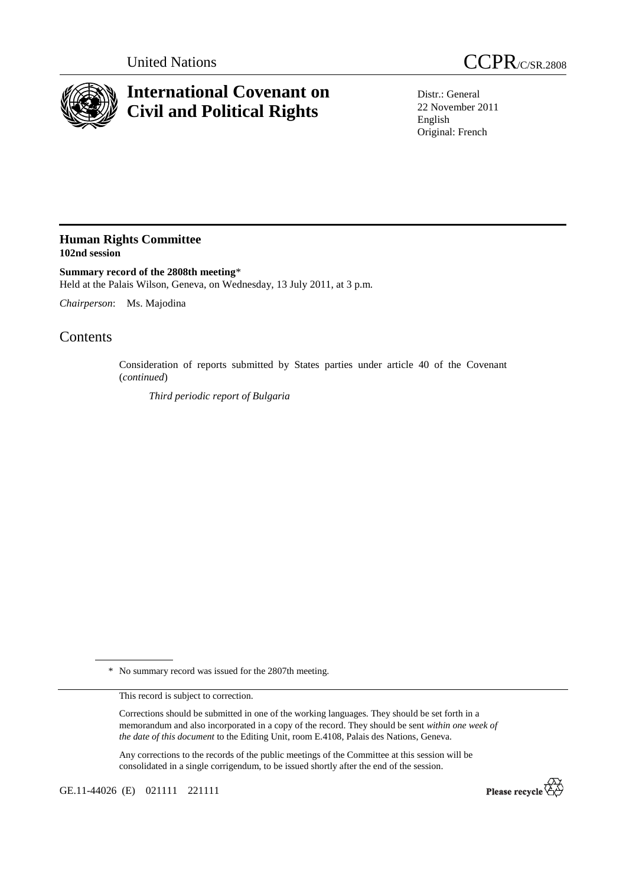



## **International Covenant on Civil and Political Rights**

Distr.: General 22 November 2011 English Original: French

## **Human Rights Committee 102nd session**

**Summary record of the 2808th meeting**\* Held at the Palais Wilson, Geneva, on Wednesday, 13 July 2011, at 3 p.m.

*Chairperson*: Ms. Majodina

## **Contents**

Consideration of reports submitted by States parties under article 40 of the Covenant (*continued*)

*Third periodic report of Bulgaria*

\* No summary record was issued for the 2807th meeting.

This record is subject to correction.

Corrections should be submitted in one of the working languages. They should be set forth in a memorandum and also incorporated in a copy of the record. They should be sent *within one week of the date of this document* to the Editing Unit, room E.4108, Palais des Nations, Geneva.

Any corrections to the records of the public meetings of the Committee at this session will be consolidated in a single corrigendum, to be issued shortly after the end of the session.

GE.11-44026 (E) 021111 221111

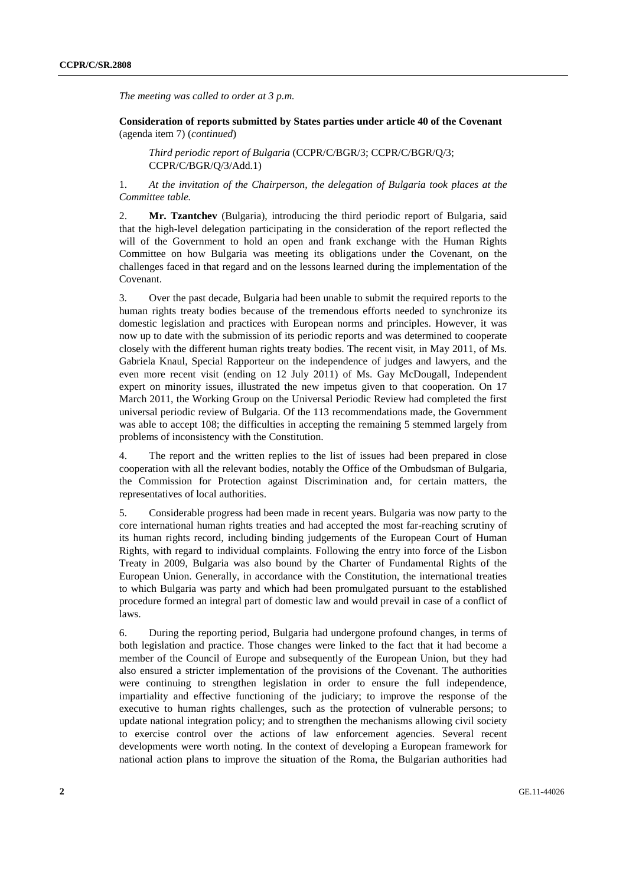*The meeting was called to order at 3 p.m.* 

 **Consideration of reports submitted by States parties under article 40 of the Covenant**  (agenda item 7) (*continued*)

*Third periodic report of Bulgaria* (CCPR/C/BGR/3; CCPR/C/BGR/Q/3; CCPR/C/BGR/Q/3/Add.1)

1. *At the invitation of the Chairperson, the delegation of Bulgaria took places at the Committee table.*

2. **Mr. Tzantchev** (Bulgaria), introducing the third periodic report of Bulgaria, said that the high-level delegation participating in the consideration of the report reflected the will of the Government to hold an open and frank exchange with the Human Rights Committee on how Bulgaria was meeting its obligations under the Covenant, on the challenges faced in that regard and on the lessons learned during the implementation of the Covenant.

3. Over the past decade, Bulgaria had been unable to submit the required reports to the human rights treaty bodies because of the tremendous efforts needed to synchronize its domestic legislation and practices with European norms and principles. However, it was now up to date with the submission of its periodic reports and was determined to cooperate closely with the different human rights treaty bodies. The recent visit, in May 2011, of Ms. Gabriela Knaul, Special Rapporteur on the independence of judges and lawyers, and the even more recent visit (ending on 12 July 2011) of Ms. Gay McDougall, Independent expert on minority issues, illustrated the new impetus given to that cooperation. On 17 March 2011, the Working Group on the Universal Periodic Review had completed the first universal periodic review of Bulgaria. Of the 113 recommendations made, the Government was able to accept 108; the difficulties in accepting the remaining 5 stemmed largely from problems of inconsistency with the Constitution.

4. The report and the written replies to the list of issues had been prepared in close cooperation with all the relevant bodies, notably the Office of the Ombudsman of Bulgaria, the Commission for Protection against Discrimination and, for certain matters, the representatives of local authorities.

5. Considerable progress had been made in recent years. Bulgaria was now party to the core international human rights treaties and had accepted the most far-reaching scrutiny of its human rights record, including binding judgements of the European Court of Human Rights, with regard to individual complaints. Following the entry into force of the Lisbon Treaty in 2009, Bulgaria was also bound by the Charter of Fundamental Rights of the European Union. Generally, in accordance with the Constitution, the international treaties to which Bulgaria was party and which had been promulgated pursuant to the established procedure formed an integral part of domestic law and would prevail in case of a conflict of laws.

6. During the reporting period, Bulgaria had undergone profound changes, in terms of both legislation and practice. Those changes were linked to the fact that it had become a member of the Council of Europe and subsequently of the European Union, but they had also ensured a stricter implementation of the provisions of the Covenant. The authorities were continuing to strengthen legislation in order to ensure the full independence, impartiality and effective functioning of the judiciary; to improve the response of the executive to human rights challenges, such as the protection of vulnerable persons; to update national integration policy; and to strengthen the mechanisms allowing civil society to exercise control over the actions of law enforcement agencies. Several recent developments were worth noting. In the context of developing a European framework for national action plans to improve the situation of the Roma, the Bulgarian authorities had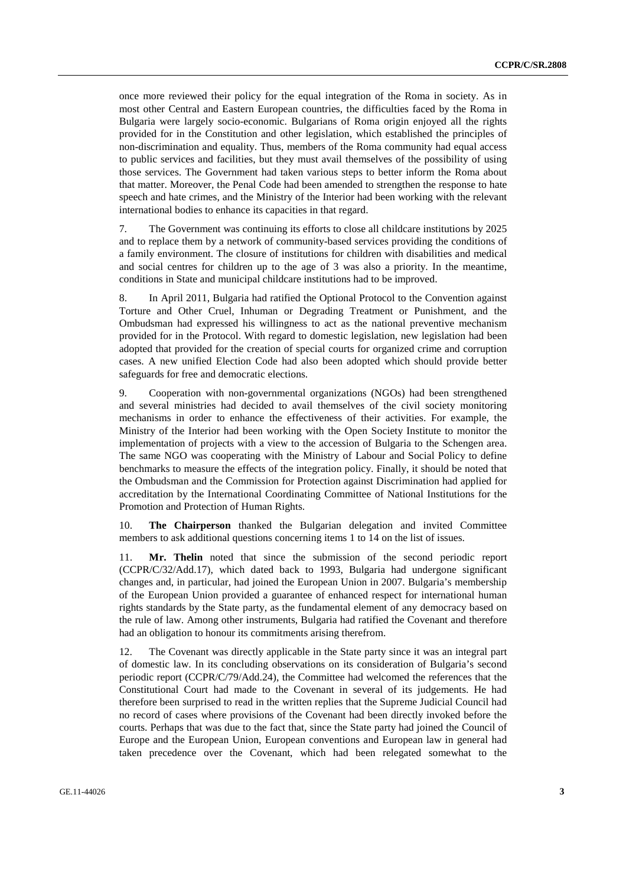once more reviewed their policy for the equal integration of the Roma in society. As in most other Central and Eastern European countries, the difficulties faced by the Roma in Bulgaria were largely socio-economic. Bulgarians of Roma origin enjoyed all the rights provided for in the Constitution and other legislation, which established the principles of non-discrimination and equality. Thus, members of the Roma community had equal access to public services and facilities, but they must avail themselves of the possibility of using those services. The Government had taken various steps to better inform the Roma about that matter. Moreover, the Penal Code had been amended to strengthen the response to hate speech and hate crimes, and the Ministry of the Interior had been working with the relevant international bodies to enhance its capacities in that regard.

7. The Government was continuing its efforts to close all childcare institutions by 2025 and to replace them by a network of community-based services providing the conditions of a family environment. The closure of institutions for children with disabilities and medical and social centres for children up to the age of 3 was also a priority. In the meantime, conditions in State and municipal childcare institutions had to be improved.

8. In April 2011, Bulgaria had ratified the Optional Protocol to the Convention against Torture and Other Cruel, Inhuman or Degrading Treatment or Punishment, and the Ombudsman had expressed his willingness to act as the national preventive mechanism provided for in the Protocol. With regard to domestic legislation, new legislation had been adopted that provided for the creation of special courts for organized crime and corruption cases. A new unified Election Code had also been adopted which should provide better safeguards for free and democratic elections.

9. Cooperation with non-governmental organizations (NGOs) had been strengthened and several ministries had decided to avail themselves of the civil society monitoring mechanisms in order to enhance the effectiveness of their activities. For example, the Ministry of the Interior had been working with the Open Society Institute to monitor the implementation of projects with a view to the accession of Bulgaria to the Schengen area. The same NGO was cooperating with the Ministry of Labour and Social Policy to define benchmarks to measure the effects of the integration policy. Finally, it should be noted that the Ombudsman and the Commission for Protection against Discrimination had applied for accreditation by the International Coordinating Committee of National Institutions for the Promotion and Protection of Human Rights.

10. **The Chairperson** thanked the Bulgarian delegation and invited Committee members to ask additional questions concerning items 1 to 14 on the list of issues.

11. **Mr. Thelin** noted that since the submission of the second periodic report (CCPR/C/32/Add.17), which dated back to 1993, Bulgaria had undergone significant changes and, in particular, had joined the European Union in 2007. Bulgaria's membership of the European Union provided a guarantee of enhanced respect for international human rights standards by the State party, as the fundamental element of any democracy based on the rule of law. Among other instruments, Bulgaria had ratified the Covenant and therefore had an obligation to honour its commitments arising therefrom.

12. The Covenant was directly applicable in the State party since it was an integral part of domestic law. In its concluding observations on its consideration of Bulgaria's second periodic report (CCPR/C/79/Add.24), the Committee had welcomed the references that the Constitutional Court had made to the Covenant in several of its judgements. He had therefore been surprised to read in the written replies that the Supreme Judicial Council had no record of cases where provisions of the Covenant had been directly invoked before the courts. Perhaps that was due to the fact that, since the State party had joined the Council of Europe and the European Union, European conventions and European law in general had taken precedence over the Covenant, which had been relegated somewhat to the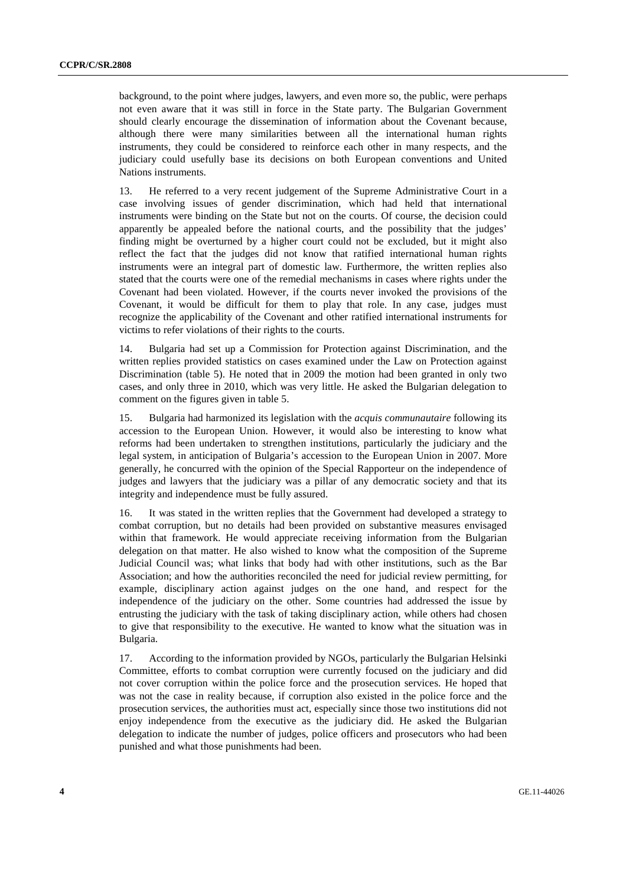background, to the point where judges, lawyers, and even more so, the public, were perhaps not even aware that it was still in force in the State party. The Bulgarian Government should clearly encourage the dissemination of information about the Covenant because, although there were many similarities between all the international human rights instruments, they could be considered to reinforce each other in many respects, and the judiciary could usefully base its decisions on both European conventions and United Nations instruments.

13. He referred to a very recent judgement of the Supreme Administrative Court in a case involving issues of gender discrimination, which had held that international instruments were binding on the State but not on the courts. Of course, the decision could apparently be appealed before the national courts, and the possibility that the judges' finding might be overturned by a higher court could not be excluded, but it might also reflect the fact that the judges did not know that ratified international human rights instruments were an integral part of domestic law. Furthermore, the written replies also stated that the courts were one of the remedial mechanisms in cases where rights under the Covenant had been violated. However, if the courts never invoked the provisions of the Covenant, it would be difficult for them to play that role. In any case, judges must recognize the applicability of the Covenant and other ratified international instruments for victims to refer violations of their rights to the courts.

14. Bulgaria had set up a Commission for Protection against Discrimination, and the written replies provided statistics on cases examined under the Law on Protection against Discrimination (table 5). He noted that in 2009 the motion had been granted in only two cases, and only three in 2010, which was very little. He asked the Bulgarian delegation to comment on the figures given in table 5.

15. Bulgaria had harmonized its legislation with the *acquis communautaire* following its accession to the European Union. However, it would also be interesting to know what reforms had been undertaken to strengthen institutions, particularly the judiciary and the legal system, in anticipation of Bulgaria's accession to the European Union in 2007. More generally, he concurred with the opinion of the Special Rapporteur on the independence of judges and lawyers that the judiciary was a pillar of any democratic society and that its integrity and independence must be fully assured.

16. It was stated in the written replies that the Government had developed a strategy to combat corruption, but no details had been provided on substantive measures envisaged within that framework. He would appreciate receiving information from the Bulgarian delegation on that matter. He also wished to know what the composition of the Supreme Judicial Council was; what links that body had with other institutions, such as the Bar Association; and how the authorities reconciled the need for judicial review permitting, for example, disciplinary action against judges on the one hand, and respect for the independence of the judiciary on the other. Some countries had addressed the issue by entrusting the judiciary with the task of taking disciplinary action, while others had chosen to give that responsibility to the executive. He wanted to know what the situation was in Bulgaria.

17. According to the information provided by NGOs, particularly the Bulgarian Helsinki Committee, efforts to combat corruption were currently focused on the judiciary and did not cover corruption within the police force and the prosecution services. He hoped that was not the case in reality because, if corruption also existed in the police force and the prosecution services, the authorities must act, especially since those two institutions did not enjoy independence from the executive as the judiciary did. He asked the Bulgarian delegation to indicate the number of judges, police officers and prosecutors who had been punished and what those punishments had been.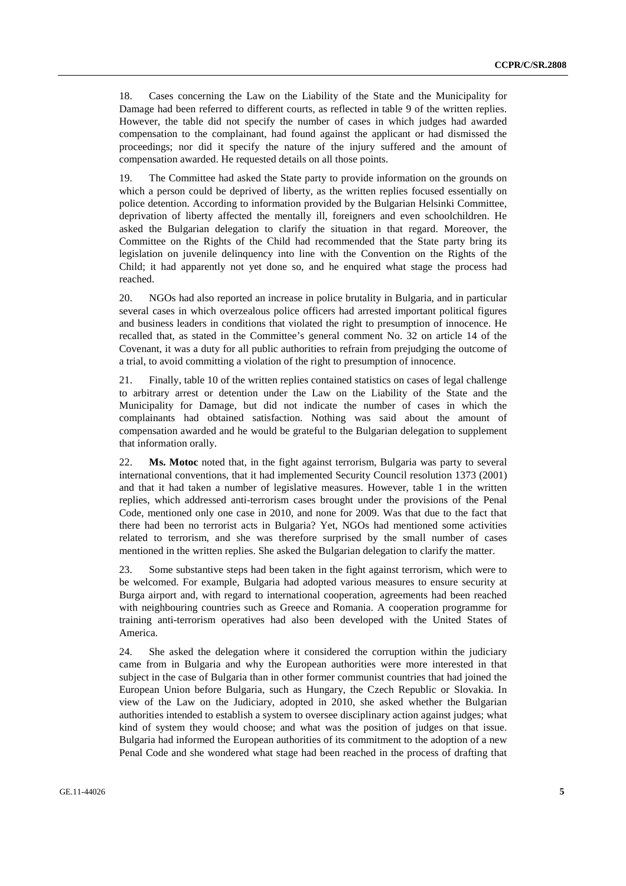18. Cases concerning the Law on the Liability of the State and the Municipality for Damage had been referred to different courts, as reflected in table 9 of the written replies. However, the table did not specify the number of cases in which judges had awarded compensation to the complainant, had found against the applicant or had dismissed the proceedings; nor did it specify the nature of the injury suffered and the amount of compensation awarded. He requested details on all those points.

19. The Committee had asked the State party to provide information on the grounds on which a person could be deprived of liberty, as the written replies focused essentially on police detention. According to information provided by the Bulgarian Helsinki Committee, deprivation of liberty affected the mentally ill, foreigners and even schoolchildren. He asked the Bulgarian delegation to clarify the situation in that regard. Moreover, the Committee on the Rights of the Child had recommended that the State party bring its legislation on juvenile delinquency into line with the Convention on the Rights of the Child; it had apparently not yet done so, and he enquired what stage the process had reached.

20. NGOs had also reported an increase in police brutality in Bulgaria, and in particular several cases in which overzealous police officers had arrested important political figures and business leaders in conditions that violated the right to presumption of innocence. He recalled that, as stated in the Committee's general comment No. 32 on article 14 of the Covenant, it was a duty for all public authorities to refrain from prejudging the outcome of a trial, to avoid committing a violation of the right to presumption of innocence.

21. Finally, table 10 of the written replies contained statistics on cases of legal challenge to arbitrary arrest or detention under the Law on the Liability of the State and the Municipality for Damage, but did not indicate the number of cases in which the complainants had obtained satisfaction. Nothing was said about the amount of compensation awarded and he would be grateful to the Bulgarian delegation to supplement that information orally.

22. **Ms. Motoc** noted that, in the fight against terrorism, Bulgaria was party to several international conventions, that it had implemented Security Council resolution 1373 (2001) and that it had taken a number of legislative measures. However, table 1 in the written replies, which addressed anti-terrorism cases brought under the provisions of the Penal Code, mentioned only one case in 2010, and none for 2009. Was that due to the fact that there had been no terrorist acts in Bulgaria? Yet, NGOs had mentioned some activities related to terrorism, and she was therefore surprised by the small number of cases mentioned in the written replies. She asked the Bulgarian delegation to clarify the matter.

23. Some substantive steps had been taken in the fight against terrorism, which were to be welcomed. For example, Bulgaria had adopted various measures to ensure security at Burga airport and, with regard to international cooperation, agreements had been reached with neighbouring countries such as Greece and Romania. A cooperation programme for training anti-terrorism operatives had also been developed with the United States of America.

24. She asked the delegation where it considered the corruption within the judiciary came from in Bulgaria and why the European authorities were more interested in that subject in the case of Bulgaria than in other former communist countries that had joined the European Union before Bulgaria, such as Hungary, the Czech Republic or Slovakia. In view of the Law on the Judiciary, adopted in 2010, she asked whether the Bulgarian authorities intended to establish a system to oversee disciplinary action against judges; what kind of system they would choose; and what was the position of judges on that issue. Bulgaria had informed the European authorities of its commitment to the adoption of a new Penal Code and she wondered what stage had been reached in the process of drafting that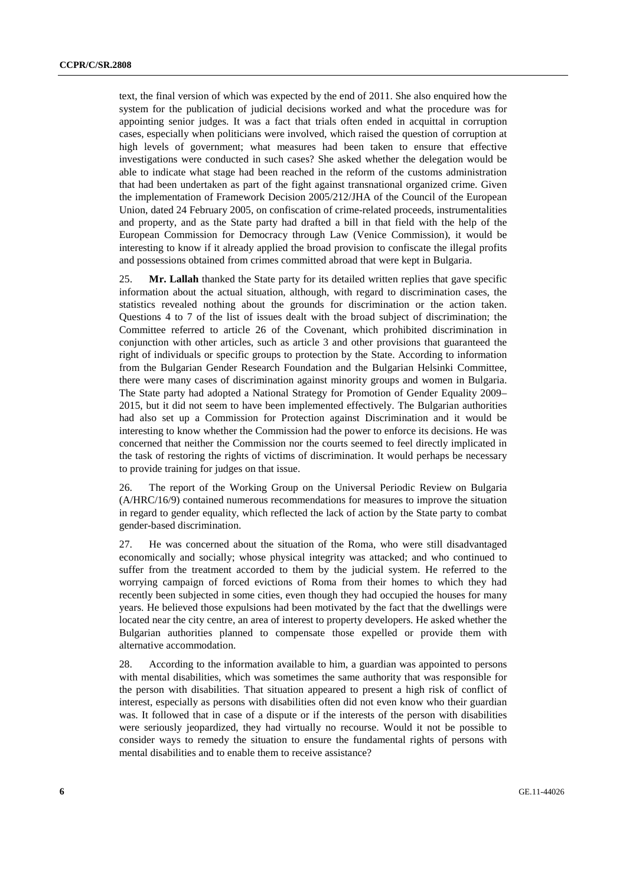text, the final version of which was expected by the end of 2011. She also enquired how the system for the publication of judicial decisions worked and what the procedure was for appointing senior judges. It was a fact that trials often ended in acquittal in corruption cases, especially when politicians were involved, which raised the question of corruption at high levels of government; what measures had been taken to ensure that effective investigations were conducted in such cases? She asked whether the delegation would be able to indicate what stage had been reached in the reform of the customs administration that had been undertaken as part of the fight against transnational organized crime. Given the implementation of Framework Decision 2005/212/JHA of the Council of the European Union, dated 24 February 2005, on confiscation of crime-related proceeds, instrumentalities and property, and as the State party had drafted a bill in that field with the help of the European Commission for Democracy through Law (Venice Commission), it would be interesting to know if it already applied the broad provision to confiscate the illegal profits and possessions obtained from crimes committed abroad that were kept in Bulgaria.

25. **Mr. Lallah** thanked the State party for its detailed written replies that gave specific information about the actual situation, although, with regard to discrimination cases, the statistics revealed nothing about the grounds for discrimination or the action taken. Questions 4 to 7 of the list of issues dealt with the broad subject of discrimination; the Committee referred to article 26 of the Covenant, which prohibited discrimination in conjunction with other articles, such as article 3 and other provisions that guaranteed the right of individuals or specific groups to protection by the State. According to information from the Bulgarian Gender Research Foundation and the Bulgarian Helsinki Committee, there were many cases of discrimination against minority groups and women in Bulgaria. The State party had adopted a National Strategy for Promotion of Gender Equality 2009– 2015, but it did not seem to have been implemented effectively. The Bulgarian authorities had also set up a Commission for Protection against Discrimination and it would be interesting to know whether the Commission had the power to enforce its decisions. He was concerned that neither the Commission nor the courts seemed to feel directly implicated in the task of restoring the rights of victims of discrimination. It would perhaps be necessary to provide training for judges on that issue.

26. The report of the Working Group on the Universal Periodic Review on Bulgaria (A/HRC/16/9) contained numerous recommendations for measures to improve the situation in regard to gender equality, which reflected the lack of action by the State party to combat gender-based discrimination.

27. He was concerned about the situation of the Roma, who were still disadvantaged economically and socially; whose physical integrity was attacked; and who continued to suffer from the treatment accorded to them by the judicial system. He referred to the worrying campaign of forced evictions of Roma from their homes to which they had recently been subjected in some cities, even though they had occupied the houses for many years. He believed those expulsions had been motivated by the fact that the dwellings were located near the city centre, an area of interest to property developers. He asked whether the Bulgarian authorities planned to compensate those expelled or provide them with alternative accommodation.

28. According to the information available to him, a guardian was appointed to persons with mental disabilities, which was sometimes the same authority that was responsible for the person with disabilities. That situation appeared to present a high risk of conflict of interest, especially as persons with disabilities often did not even know who their guardian was. It followed that in case of a dispute or if the interests of the person with disabilities were seriously jeopardized, they had virtually no recourse. Would it not be possible to consider ways to remedy the situation to ensure the fundamental rights of persons with mental disabilities and to enable them to receive assistance?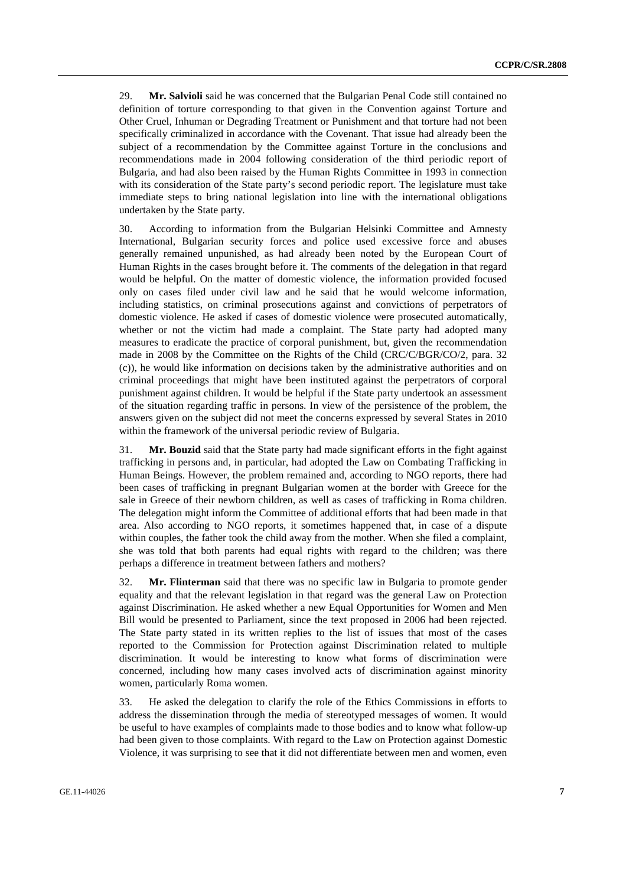29. **Mr. Salvioli** said he was concerned that the Bulgarian Penal Code still contained no definition of torture corresponding to that given in the Convention against Torture and Other Cruel, Inhuman or Degrading Treatment or Punishment and that torture had not been specifically criminalized in accordance with the Covenant. That issue had already been the subject of a recommendation by the Committee against Torture in the conclusions and recommendations made in 2004 following consideration of the third periodic report of Bulgaria, and had also been raised by the Human Rights Committee in 1993 in connection with its consideration of the State party's second periodic report. The legislature must take immediate steps to bring national legislation into line with the international obligations undertaken by the State party.

30. According to information from the Bulgarian Helsinki Committee and Amnesty International, Bulgarian security forces and police used excessive force and abuses generally remained unpunished, as had already been noted by the European Court of Human Rights in the cases brought before it. The comments of the delegation in that regard would be helpful. On the matter of domestic violence, the information provided focused only on cases filed under civil law and he said that he would welcome information, including statistics, on criminal prosecutions against and convictions of perpetrators of domestic violence. He asked if cases of domestic violence were prosecuted automatically, whether or not the victim had made a complaint. The State party had adopted many measures to eradicate the practice of corporal punishment, but, given the recommendation made in 2008 by the Committee on the Rights of the Child (CRC/C/BGR/CO/2, para. 32 (c)), he would like information on decisions taken by the administrative authorities and on criminal proceedings that might have been instituted against the perpetrators of corporal punishment against children. It would be helpful if the State party undertook an assessment of the situation regarding traffic in persons. In view of the persistence of the problem, the answers given on the subject did not meet the concerns expressed by several States in 2010 within the framework of the universal periodic review of Bulgaria.

31. **Mr. Bouzid** said that the State party had made significant efforts in the fight against trafficking in persons and, in particular, had adopted the Law on Combating Trafficking in Human Beings. However, the problem remained and, according to NGO reports, there had been cases of trafficking in pregnant Bulgarian women at the border with Greece for the sale in Greece of their newborn children, as well as cases of trafficking in Roma children. The delegation might inform the Committee of additional efforts that had been made in that area. Also according to NGO reports, it sometimes happened that, in case of a dispute within couples, the father took the child away from the mother. When she filed a complaint, she was told that both parents had equal rights with regard to the children; was there perhaps a difference in treatment between fathers and mothers?

32. **Mr. Flinterman** said that there was no specific law in Bulgaria to promote gender equality and that the relevant legislation in that regard was the general Law on Protection against Discrimination. He asked whether a new Equal Opportunities for Women and Men Bill would be presented to Parliament, since the text proposed in 2006 had been rejected. The State party stated in its written replies to the list of issues that most of the cases reported to the Commission for Protection against Discrimination related to multiple discrimination. It would be interesting to know what forms of discrimination were concerned, including how many cases involved acts of discrimination against minority women, particularly Roma women.

33. He asked the delegation to clarify the role of the Ethics Commissions in efforts to address the dissemination through the media of stereotyped messages of women. It would be useful to have examples of complaints made to those bodies and to know what follow-up had been given to those complaints. With regard to the Law on Protection against Domestic Violence, it was surprising to see that it did not differentiate between men and women, even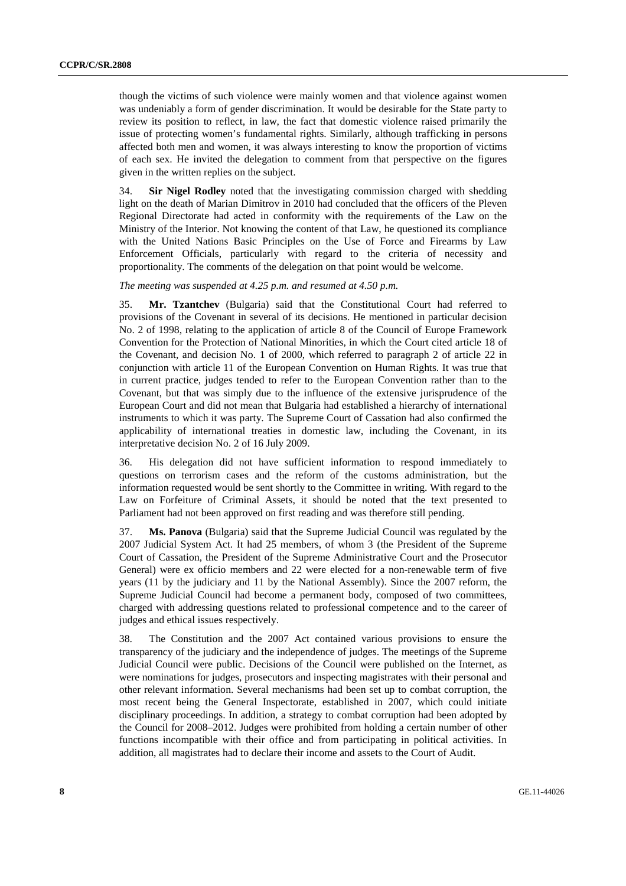though the victims of such violence were mainly women and that violence against women was undeniably a form of gender discrimination. It would be desirable for the State party to review its position to reflect, in law, the fact that domestic violence raised primarily the issue of protecting women's fundamental rights. Similarly, although trafficking in persons affected both men and women, it was always interesting to know the proportion of victims of each sex. He invited the delegation to comment from that perspective on the figures given in the written replies on the subject.

34. **Sir Nigel Rodley** noted that the investigating commission charged with shedding light on the death of Marian Dimitrov in 2010 had concluded that the officers of the Pleven Regional Directorate had acted in conformity with the requirements of the Law on the Ministry of the Interior. Not knowing the content of that Law, he questioned its compliance with the United Nations Basic Principles on the Use of Force and Firearms by Law Enforcement Officials, particularly with regard to the criteria of necessity and proportionality. The comments of the delegation on that point would be welcome.

*The meeting was suspended at 4.25 p.m. and resumed at 4.50 p.m.* 

35. **Mr. Tzantchev** (Bulgaria) said that the Constitutional Court had referred to provisions of the Covenant in several of its decisions. He mentioned in particular decision No. 2 of 1998, relating to the application of article 8 of the Council of Europe Framework Convention for the Protection of National Minorities, in which the Court cited article 18 of the Covenant, and decision No. 1 of 2000, which referred to paragraph 2 of article 22 in conjunction with article 11 of the European Convention on Human Rights. It was true that in current practice, judges tended to refer to the European Convention rather than to the Covenant, but that was simply due to the influence of the extensive jurisprudence of the European Court and did not mean that Bulgaria had established a hierarchy of international instruments to which it was party. The Supreme Court of Cassation had also confirmed the applicability of international treaties in domestic law, including the Covenant, in its interpretative decision No. 2 of 16 July 2009.

36. His delegation did not have sufficient information to respond immediately to questions on terrorism cases and the reform of the customs administration, but the information requested would be sent shortly to the Committee in writing. With regard to the Law on Forfeiture of Criminal Assets, it should be noted that the text presented to Parliament had not been approved on first reading and was therefore still pending.

37. **Ms. Panova** (Bulgaria) said that the Supreme Judicial Council was regulated by the 2007 Judicial System Act. It had 25 members, of whom 3 (the President of the Supreme Court of Cassation, the President of the Supreme Administrative Court and the Prosecutor General) were ex officio members and 22 were elected for a non-renewable term of five years (11 by the judiciary and 11 by the National Assembly). Since the 2007 reform, the Supreme Judicial Council had become a permanent body, composed of two committees, charged with addressing questions related to professional competence and to the career of judges and ethical issues respectively.

38. The Constitution and the 2007 Act contained various provisions to ensure the transparency of the judiciary and the independence of judges. The meetings of the Supreme Judicial Council were public. Decisions of the Council were published on the Internet, as were nominations for judges, prosecutors and inspecting magistrates with their personal and other relevant information. Several mechanisms had been set up to combat corruption, the most recent being the General Inspectorate, established in 2007, which could initiate disciplinary proceedings. In addition, a strategy to combat corruption had been adopted by the Council for 2008–2012. Judges were prohibited from holding a certain number of other functions incompatible with their office and from participating in political activities. In addition, all magistrates had to declare their income and assets to the Court of Audit.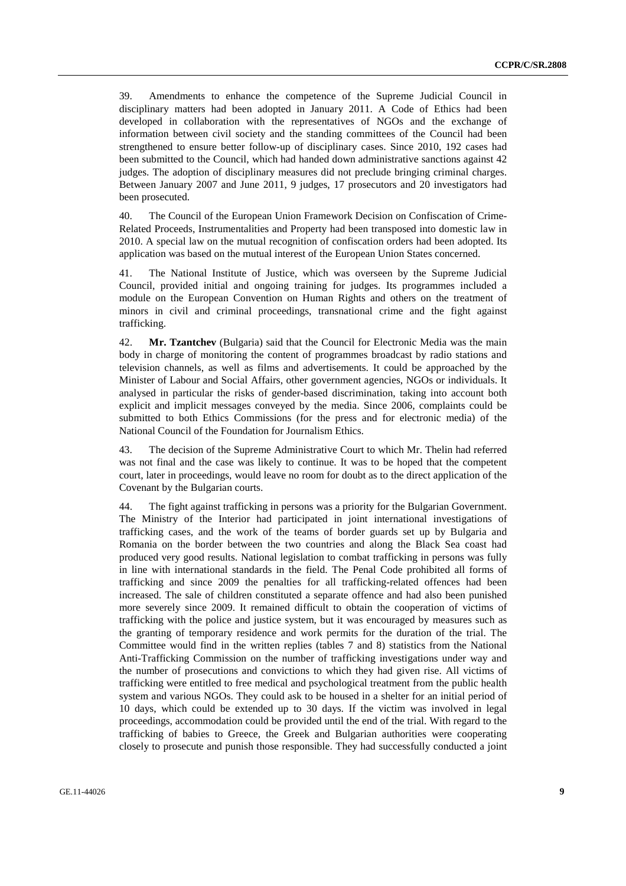39. Amendments to enhance the competence of the Supreme Judicial Council in disciplinary matters had been adopted in January 2011. A Code of Ethics had been developed in collaboration with the representatives of NGOs and the exchange of information between civil society and the standing committees of the Council had been strengthened to ensure better follow-up of disciplinary cases. Since 2010, 192 cases had been submitted to the Council, which had handed down administrative sanctions against 42 judges. The adoption of disciplinary measures did not preclude bringing criminal charges. Between January 2007 and June 2011, 9 judges, 17 prosecutors and 20 investigators had been prosecuted.

40. The Council of the European Union Framework Decision on Confiscation of Crime-Related Proceeds, Instrumentalities and Property had been transposed into domestic law in 2010. A special law on the mutual recognition of confiscation orders had been adopted. Its application was based on the mutual interest of the European Union States concerned.

41. The National Institute of Justice, which was overseen by the Supreme Judicial Council, provided initial and ongoing training for judges. Its programmes included a module on the European Convention on Human Rights and others on the treatment of minors in civil and criminal proceedings, transnational crime and the fight against trafficking.

42. **Mr. Tzantchev** (Bulgaria) said that the Council for Electronic Media was the main body in charge of monitoring the content of programmes broadcast by radio stations and television channels, as well as films and advertisements. It could be approached by the Minister of Labour and Social Affairs, other government agencies, NGOs or individuals. It analysed in particular the risks of gender-based discrimination, taking into account both explicit and implicit messages conveyed by the media. Since 2006, complaints could be submitted to both Ethics Commissions (for the press and for electronic media) of the National Council of the Foundation for Journalism Ethics.

43. The decision of the Supreme Administrative Court to which Mr. Thelin had referred was not final and the case was likely to continue. It was to be hoped that the competent court, later in proceedings, would leave no room for doubt as to the direct application of the Covenant by the Bulgarian courts.

44. The fight against trafficking in persons was a priority for the Bulgarian Government. The Ministry of the Interior had participated in joint international investigations of trafficking cases, and the work of the teams of border guards set up by Bulgaria and Romania on the border between the two countries and along the Black Sea coast had produced very good results. National legislation to combat trafficking in persons was fully in line with international standards in the field. The Penal Code prohibited all forms of trafficking and since 2009 the penalties for all trafficking-related offences had been increased. The sale of children constituted a separate offence and had also been punished more severely since 2009. It remained difficult to obtain the cooperation of victims of trafficking with the police and justice system, but it was encouraged by measures such as the granting of temporary residence and work permits for the duration of the trial. The Committee would find in the written replies (tables 7 and 8) statistics from the National Anti-Trafficking Commission on the number of trafficking investigations under way and the number of prosecutions and convictions to which they had given rise. All victims of trafficking were entitled to free medical and psychological treatment from the public health system and various NGOs. They could ask to be housed in a shelter for an initial period of 10 days, which could be extended up to 30 days. If the victim was involved in legal proceedings, accommodation could be provided until the end of the trial. With regard to the trafficking of babies to Greece, the Greek and Bulgarian authorities were cooperating closely to prosecute and punish those responsible. They had successfully conducted a joint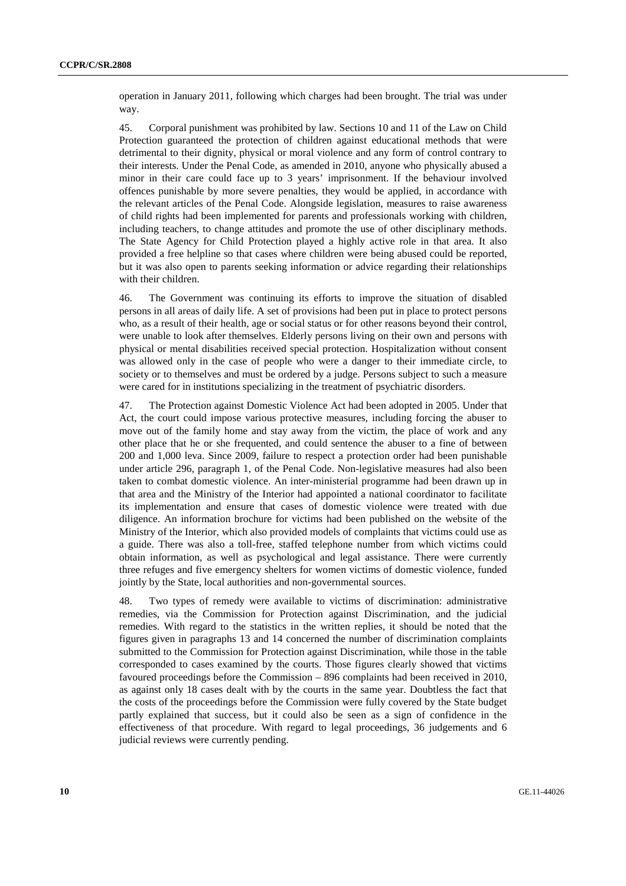operation in January 2011, following which charges had been brought. The trial was under way.

45. Corporal punishment was prohibited by law. Sections 10 and 11 of the Law on Child Protection guaranteed the protection of children against educational methods that were detrimental to their dignity, physical or moral violence and any form of control contrary to their interests. Under the Penal Code, as amended in 2010, anyone who physically abused a minor in their care could face up to 3 years' imprisonment. If the behaviour involved offences punishable by more severe penalties, they would be applied, in accordance with the relevant articles of the Penal Code. Alongside legislation, measures to raise awareness of child rights had been implemented for parents and professionals working with children, including teachers, to change attitudes and promote the use of other disciplinary methods. The State Agency for Child Protection played a highly active role in that area. It also provided a free helpline so that cases where children were being abused could be reported, but it was also open to parents seeking information or advice regarding their relationships with their children.

46. The Government was continuing its efforts to improve the situation of disabled persons in all areas of daily life. A set of provisions had been put in place to protect persons who, as a result of their health, age or social status or for other reasons beyond their control, were unable to look after themselves. Elderly persons living on their own and persons with physical or mental disabilities received special protection. Hospitalization without consent was allowed only in the case of people who were a danger to their immediate circle, to society or to themselves and must be ordered by a judge. Persons subject to such a measure were cared for in institutions specializing in the treatment of psychiatric disorders.

47. The Protection against Domestic Violence Act had been adopted in 2005. Under that Act, the court could impose various protective measures, including forcing the abuser to move out of the family home and stay away from the victim, the place of work and any other place that he or she frequented, and could sentence the abuser to a fine of between 200 and 1,000 leva. Since 2009, failure to respect a protection order had been punishable under article 296, paragraph 1, of the Penal Code. Non-legislative measures had also been taken to combat domestic violence. An inter-ministerial programme had been drawn up in that area and the Ministry of the Interior had appointed a national coordinator to facilitate its implementation and ensure that cases of domestic violence were treated with due diligence. An information brochure for victims had been published on the website of the Ministry of the Interior, which also provided models of complaints that victims could use as a guide. There was also a toll-free, staffed telephone number from which victims could obtain information, as well as psychological and legal assistance. There were currently three refuges and five emergency shelters for women victims of domestic violence, funded jointly by the State, local authorities and non-governmental sources.

48. Two types of remedy were available to victims of discrimination: administrative remedies, via the Commission for Protection against Discrimination, and the judicial remedies. With regard to the statistics in the written replies, it should be noted that the figures given in paragraphs 13 and 14 concerned the number of discrimination complaints submitted to the Commission for Protection against Discrimination, while those in the table corresponded to cases examined by the courts. Those figures clearly showed that victims favoured proceedings before the Commission – 896 complaints had been received in 2010, as against only 18 cases dealt with by the courts in the same year. Doubtless the fact that the costs of the proceedings before the Commission were fully covered by the State budget partly explained that success, but it could also be seen as a sign of confidence in the effectiveness of that procedure. With regard to legal proceedings, 36 judgements and 6 judicial reviews were currently pending.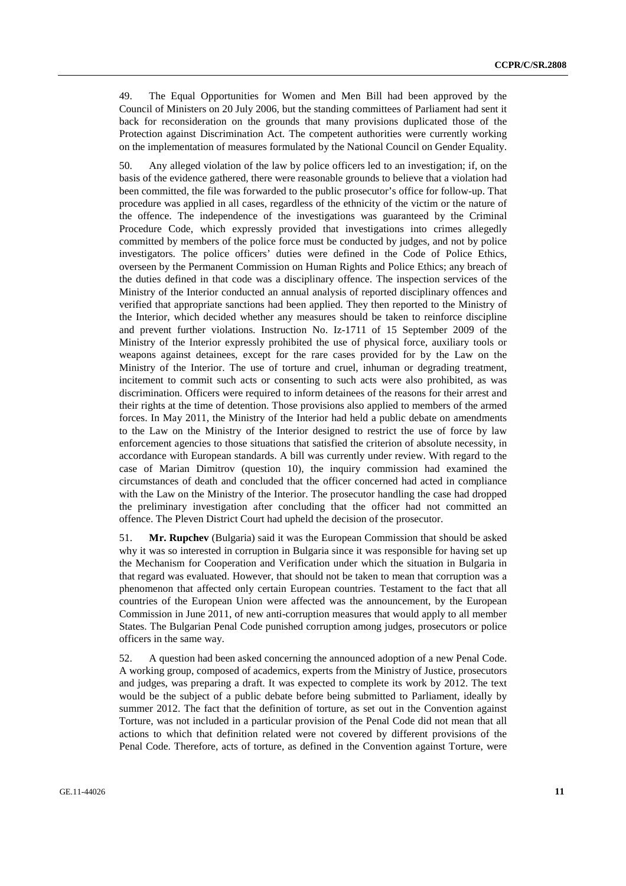49. The Equal Opportunities for Women and Men Bill had been approved by the Council of Ministers on 20 July 2006, but the standing committees of Parliament had sent it back for reconsideration on the grounds that many provisions duplicated those of the Protection against Discrimination Act. The competent authorities were currently working on the implementation of measures formulated by the National Council on Gender Equality.

50. Any alleged violation of the law by police officers led to an investigation; if, on the basis of the evidence gathered, there were reasonable grounds to believe that a violation had been committed, the file was forwarded to the public prosecutor's office for follow-up. That procedure was applied in all cases, regardless of the ethnicity of the victim or the nature of the offence. The independence of the investigations was guaranteed by the Criminal Procedure Code, which expressly provided that investigations into crimes allegedly committed by members of the police force must be conducted by judges, and not by police investigators. The police officers' duties were defined in the Code of Police Ethics, overseen by the Permanent Commission on Human Rights and Police Ethics; any breach of the duties defined in that code was a disciplinary offence. The inspection services of the Ministry of the Interior conducted an annual analysis of reported disciplinary offences and verified that appropriate sanctions had been applied. They then reported to the Ministry of the Interior, which decided whether any measures should be taken to reinforce discipline and prevent further violations. Instruction No. Iz-1711 of 15 September 2009 of the Ministry of the Interior expressly prohibited the use of physical force, auxiliary tools or weapons against detainees, except for the rare cases provided for by the Law on the Ministry of the Interior. The use of torture and cruel, inhuman or degrading treatment, incitement to commit such acts or consenting to such acts were also prohibited, as was discrimination. Officers were required to inform detainees of the reasons for their arrest and their rights at the time of detention. Those provisions also applied to members of the armed forces. In May 2011, the Ministry of the Interior had held a public debate on amendments to the Law on the Ministry of the Interior designed to restrict the use of force by law enforcement agencies to those situations that satisfied the criterion of absolute necessity, in accordance with European standards. A bill was currently under review. With regard to the case of Marian Dimitrov (question 10), the inquiry commission had examined the circumstances of death and concluded that the officer concerned had acted in compliance with the Law on the Ministry of the Interior. The prosecutor handling the case had dropped the preliminary investigation after concluding that the officer had not committed an offence. The Pleven District Court had upheld the decision of the prosecutor.

51. **Mr. Rupchev** (Bulgaria) said it was the European Commission that should be asked why it was so interested in corruption in Bulgaria since it was responsible for having set up the Mechanism for Cooperation and Verification under which the situation in Bulgaria in that regard was evaluated. However, that should not be taken to mean that corruption was a phenomenon that affected only certain European countries. Testament to the fact that all countries of the European Union were affected was the announcement, by the European Commission in June 2011, of new anti-corruption measures that would apply to all member States. The Bulgarian Penal Code punished corruption among judges, prosecutors or police officers in the same way.

52. A question had been asked concerning the announced adoption of a new Penal Code. A working group, composed of academics, experts from the Ministry of Justice, prosecutors and judges, was preparing a draft. It was expected to complete its work by 2012. The text would be the subject of a public debate before being submitted to Parliament, ideally by summer 2012. The fact that the definition of torture, as set out in the Convention against Torture, was not included in a particular provision of the Penal Code did not mean that all actions to which that definition related were not covered by different provisions of the Penal Code. Therefore, acts of torture, as defined in the Convention against Torture, were